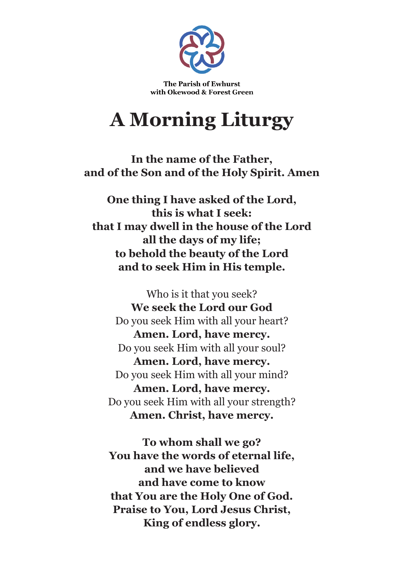

The Parish of Ewhurst with Okewood & Forest Green

## **A Morning Liturgy**

**In the name of the Father, and of the Son and of the Holy Spirit. Amen**

**One thing I have asked of the Lord, this is what I seek: that I may dwell in the house of the Lord all the days of my life; to behold the beauty of the Lord and to seek Him in His temple.**

Who is it that you seek? **We seek the Lord our God** Do you seek Him with all your heart? **Amen. Lord, have mercy.** Do you seek Him with all your soul? **Amen. Lord, have mercy.** Do you seek Him with all your mind? **Amen. Lord, have mercy.** Do you seek Him with all your strength? **Amen. Christ, have mercy.**

**To whom shall we go? You have the words of eternal life, and we have believed and have come to know that You are the Holy One of God. Praise to You, Lord Jesus Christ, King of endless glory.**